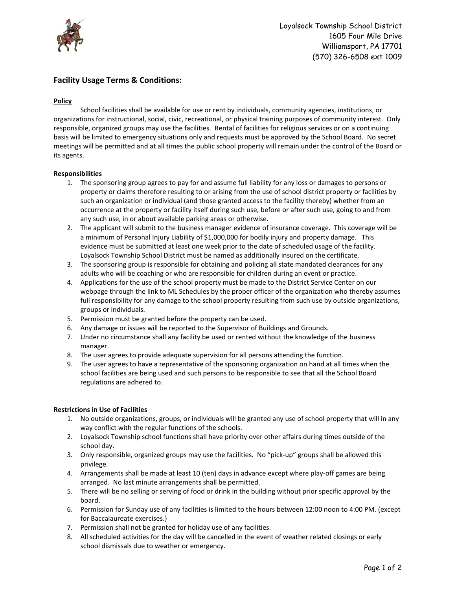

# **Facility Usage Terms & Conditions:**

## **Policy**

School facilities shall be available for use or rent by individuals, community agencies, institutions, or organizations for instructional, social, civic, recreational, or physical training purposes of community interest. Only responsible, organized groups may use the facilities. Rental of facilities for religious services or on a continuing basis will be limited to emergency situations only and requests must be approved by the School Board. No secret meetings will be permitted and at all times the public school property will remain under the control of the Board or its agents.

## **Responsibilities**

- 1. The sponsoring group agrees to pay for and assume full liability for any loss or damages to persons or property or claims therefore resulting to or arising from the use of school district property or facilities by such an organization or individual (and those granted access to the facility thereby) whether from an occurrence at the property or facility itself during such use, before or after such use, going to and from any such use, in or about available parking areas or otherwise.
- 2. The applicant will submit to the business manager evidence of insurance coverage. This coverage will be a minimum of Personal Injury Liability of \$1,000,000 for bodily injury and property damage. This evidence must be submitted at least one week prior to the date of scheduled usage of the facility. Loyalsock Township School District must be named as additionally insured on the certificate.
- 3. The sponsoring group is responsible for obtaining and policing all state mandated clearances for any adults who will be coaching or who are responsible for children during an event or practice.
- 4. Applications for the use of the school property must be made to the District Service Center on our webpage through the link to ML Schedules by the proper officer of the organization who thereby assumes full responsibility for any damage to the school property resulting from such use by outside organizations, groups or individuals.
- 5. Permission must be granted before the property can be used.
- 6. Any damage or issues will be reported to the Supervisor of Buildings and Grounds.
- 7. Under no circumstance shall any facility be used or rented without the knowledge of the business manager.
- 8. The user agrees to provide adequate supervision for all persons attending the function.
- 9. The user agrees to have a representative of the sponsoring organization on hand at all times when the school facilities are being used and such persons to be responsible to see that all the School Board regulations are adhered to.

## **Restrictions in Use of Facilities**

- 1. No outside organizations, groups, or individuals will be granted any use of school property that will in any way conflict with the regular functions of the schools.
- 2. Loyalsock Township school functions shall have priority over other affairs during times outside of the school day.
- 3. Only responsible, organized groups may use the facilities. No "pick-up" groups shall be allowed this privilege.
- 4. Arrangements shall be made at least 10 (ten) days in advance except where play-off games are being arranged. No last minute arrangements shall be permitted.
- 5. There will be no selling or serving of food or drink in the building without prior specific approval by the board.
- 6. Permission for Sunday use of any facilities is limited to the hours between 12:00 noon to 4:00 PM. (except for Baccalaureate exercises.)
- 7. Permission shall not be granted for holiday use of any facilities.
- 8. All scheduled activities for the day will be cancelled in the event of weather related closings or early school dismissals due to weather or emergency.